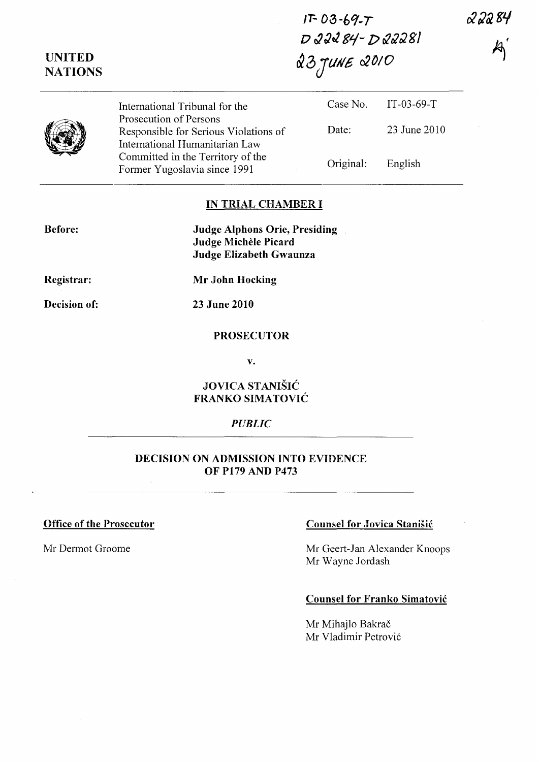22284

**IT-** *03* **-60/· T**  *o* ~Jt1 **81-** p~JJ81 & *0 JlIlI£ c:20/0* 

|   | International Tribunal for the                                                                    |           | Case No. IT-03-69-T |
|---|---------------------------------------------------------------------------------------------------|-----------|---------------------|
| J | Prosecution of Persons<br>Responsible for Serious Violations of<br>International Humanitarian Law | Date:     | 23 June 2010        |
|   | Committed in the Territory of the<br>Former Yugoslavia since 1991                                 | Original: | English             |

## **IN TRIAL CHAMBER I**

**Judge Alphons Orie, Presiding Judge Michele Picard Judge Elizabeth Gwaunza** 

**Registrar:** 

**Before:** 

**UNITED NATIONS** 

**Mr John Hocking** 

**Decision of:** 

**23 June 2010** 

## **PROSECUTOR**

**v.** 

# **JOVICA STANISIC FRANKO SIMATOVIC**

## *PUBLIC*

## **DECISION ON ADMISSION INTO EVIDENCE OF P179 AND P473**

## **Office of the Prosecutor Counsel for Jovica Stanisic Counsel for Jovica Stanisic**

Mr Dermot Groome Mr Geert-Jan Alexander Knoops Mr Wayne Jordash

## **Counsel for Franko Simatovic**

Mr Mihajlo Bakrač Mr Vladimir Petrović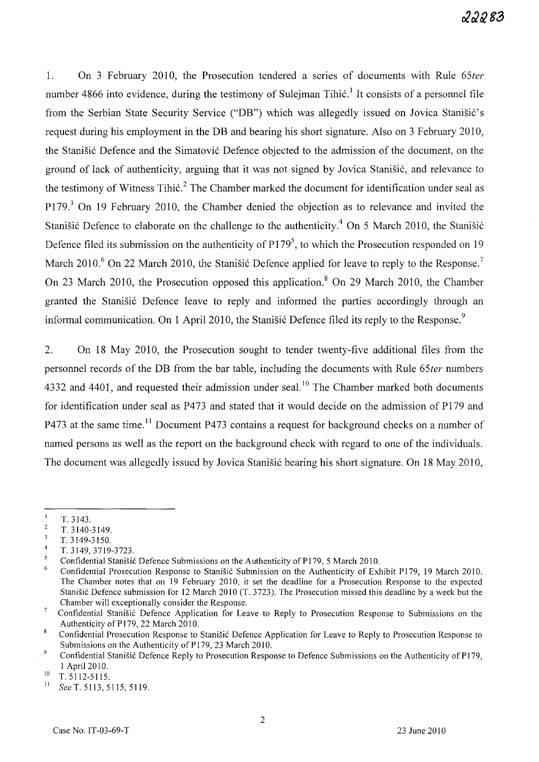1. On 3 February 2010, the Prosecution tendered a senes of documents with Rule *65ter*  number 4866 into evidence, during the testimony of Suleiman Tihić,<sup>1</sup> It consists of a personnel file from the Serbian State Security Service ("DB") which was allegedly issued on Jovica Stanišić's request during his employment in the DB and bearing his short signature. Also on 3 February 2010, the Stanišić Defence and the Simatović Defence objected to the admission of the document, on the ground of lack of authenticity, arguing that it was not signed by Jovica Stanišić, and relevance to the testimony of Witness Tihić.<sup>2</sup> The Chamber marked the document for identification under seal as P179.<sup>3</sup> On 19 February 2010, the Chamber denied the objection as to relevance and invited the Stanišić Defence to elaborate on the challenge to the authenticity.<sup>4</sup> On 5 March 2010, the Stanišić Defence filed its submission on the authenticity of  $P179<sup>5</sup>$ , to which the Prosecution responded on 19 March 2010.<sup>6</sup> On 22 March 2010, the Stanisic Defence applied for leave to reply to the Response.<sup>7</sup> On 23 March 2010, the Prosecution opposed this application.<sup>8</sup> On 29 March 2010, the Chamber granted the Stanišić Defence leave to reply and informed the parties accordingly through an informal communication. On 1 April 2010, the Stanišić Defence filed its reply to the Response.<sup>9</sup>

2. On 18 May 2010, the Prosecution sought to tender twenty-five additional files from the personnel records of the DB from the bar table, including the documents with Rule *65ter* numbers 4332 and 4401, and requested their admission under seal.<sup>10</sup> The Chamber marked both documents for identification under seal as P473 and stated that it would decide on the admission of P179 and P473 at the same time.<sup>11</sup> Document P473 contains a request for background checks on a number of named persons as well as the report on the background check with regard to one of the individuals. The document was allegedly issued by Jovica Stanišić bearing his short signature. On 18 May 2010,

 $\mathbf{I}$ T.3143.

 $\overline{\mathbf{c}}$ T. 3140-3149.

 $\overline{\mathbf{3}}$ T.3149-3150.

 $\overline{4}$ T. 3149, 3719-3723.

 $\overline{5}$ Confidential Stanišić Defence Submissions on the Authenticity of P179, 5 March 2010.

<sup>&</sup>lt;sup>6</sup> Confidential Prosecution Response to Stanišić Submission on the Authenticity of Exhibit P179, 19 March 2010. The Chamber notes that on 19 February 2010, it set the deadline for a Prosecution Response to the expected Stanišić Defence submission for 12 March 2010 (T. 3723). The Prosecution missed this deadline by a week but the Chamber will exceptionally consider the Response.

 $\overline{7}$ Confidential Stanišić Defence Application for Leave to Reply to Prosecution Response to Submissions on the Authenticity of P179, 22 March 2010.

 $\bf 8$ Confidential Prosecution Response to Stanišić Defence Application for Leave to Reply to Prosecution Response to Submissions on the Authenticity of P179, 23 March 2010.

 $\overline{9}$ Confidential Stanišić Defence Reply to Prosecution Response to Defence Submissions on the Authenticity of P179, 1 April 2010.

<sup>&</sup>lt;sup>10</sup> T. 5112-5115.

See T. 5113, 5115, 5119.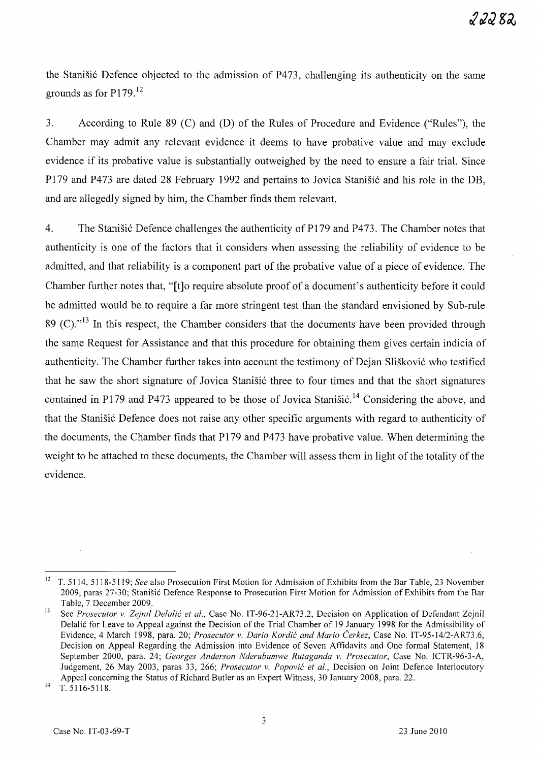the Stanišić Defence objected to the admission of P473, challenging its authenticity on the same grounds as for P179. <sup>12</sup>

3. According to Rule 89 (C) and (D) of the Rules of Procedure and Evidence ("Rules"), the Chamber may admit any relevant evidence it deems to have probative value and may exclude evidence if its probative value is substantially outweighed by the need to ensure a fair trial. Since P179 and P473 are dated 28 February 1992 and pertains to Jovica Stanišić and his role in the DB, and are allegedly signed by him, the Chamber finds them relevant.

4. The Stanistic Defence challenges the authenticity of P179 and P473. The Chamber notes that authenticity is one of the factors that it considers when assessing the reliability of evidence to be admitted, and that reliability is a component part of the probative value of a piece of evidence. The Chamber further notes that, "[t]o require absolute proof of a document's authenticity before it could be admitted would be to require a far more stringent test than the standard envisioned by Sub-rule 89 (C). $n^{13}$  In this respect, the Chamber considers that the documents have been provided through the same Request for Assistance and that this procedure for obtaining them gives certain indicia of authenticity. The Chamber further takes into account the testimony of Dejan Slišković who testified that he saw the short signature of Jovica Stanisic three to four times and that the short signatures contained in P179 and P473 appeared to be those of Jovica Stanistic.<sup>14</sup> Considering the above, and that the Stanisić Defence does not raise any other specific arguments with regard to authenticity of the documents, the Chamber finds that P179 and P473 have probative value. When determining the weight to be attached to these documents, the Chamber will assess them in light of the totality of the evidence.

 $^{14}$  T. 5116-5118.

<sup>&</sup>lt;sup>12</sup> T. 5114, 5118-5119; *See* also Prosecution First Motion for Admission of Exhibits from the Bar Table, 23 November 2009, paras 27-30; Stanisi6 Defence Response to Prosecution First Motion for Admission of Exhibits from the Bar Table, 7 December 2009.

<sup>13</sup> See *Prosecutor* v. *Zejnil Delalic et al.,* Case No. IT-96-21-AR 73.2, Decision on Application of Defendant Zejnil Delalić for Leave to Appeal against the Decision of the Trial Chamber of 19 January 1998 for the Admissibility of Evidence, 4 March 1998, para. 20; *Prosecutor* v. *Dario Kordic and Mario Cerkez,* Case No. IT-95-14/2-AR73.6, Decision on Appeal Regarding the Admission into Evidence of Seven Affidavits and One formal Statement, 18 September 2000, para. 24; *Georges Anderson Nderubumwe Rutaganda* v. *Prosecutor,* Case No. ICTR-96-3-A, Judgement, 26 May 2003, paras 33, 266; *Prosecutor* v. *Popovic et al.,* Decision on Joint Defence Interlocutory Appeal concerning the Status of Richard Butler as an Expert Witness, 30 January 2008, para. 22.